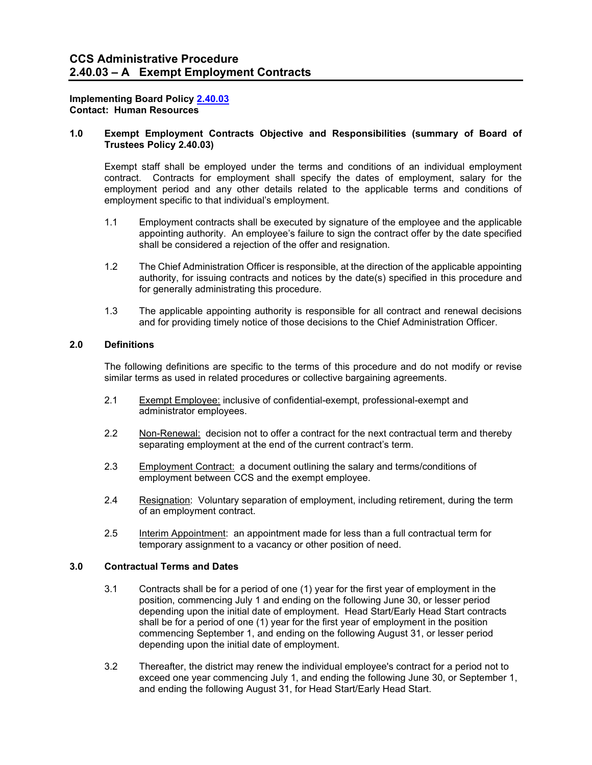## **Implementing Board Policy [2.40.03](https://ccs.spokane.edu/About-Us/Leadership/Board-of-Trustees/Policies-Procedures/Chapter2#AccWE2-11) Contact: Human Resources**

# **1.0 Exempt Employment Contracts Objective and Responsibilities (summary of Board of Trustees Policy 2.40.03)**

Exempt staff shall be employed under the terms and conditions of an individual employment contract. Contracts for employment shall specify the dates of employment, salary for the employment period and any other details related to the applicable terms and conditions of employment specific to that individual's employment.

- 1.1 Employment contracts shall be executed by signature of the employee and the applicable appointing authority. An employee's failure to sign the contract offer by the date specified shall be considered a rejection of the offer and resignation.
- 1.2 The Chief Administration Officer is responsible, at the direction of the applicable appointing authority, for issuing contracts and notices by the date(s) specified in this procedure and for generally administrating this procedure.
- 1.3 The applicable appointing authority is responsible for all contract and renewal decisions and for providing timely notice of those decisions to the Chief Administration Officer.

## **2.0 Definitions**

The following definitions are specific to the terms of this procedure and do not modify or revise similar terms as used in related procedures or collective bargaining agreements.

- 2.1 Exempt Employee: inclusive of confidential-exempt, professional-exempt and administrator employees.
- 2.2 Non-Renewal: decision not to offer a contract for the next contractual term and thereby separating employment at the end of the current contract's term.
- 2.3 Employment Contract: a document outlining the salary and terms/conditions of employment between CCS and the exempt employee.
- 2.4 Resignation: Voluntary separation of employment, including retirement, during the term of an employment contract.
- 2.5 Interim Appointment: an appointment made for less than a full contractual term for temporary assignment to a vacancy or other position of need.

## **3.0 Contractual Terms and Dates**

- 3.1 Contracts shall be for a period of one (1) year for the first year of employment in the position, commencing July 1 and ending on the following June 30, or lesser period depending upon the initial date of employment. Head Start/Early Head Start contracts shall be for a period of one (1) year for the first year of employment in the position commencing September 1, and ending on the following August 31, or lesser period depending upon the initial date of employment.
- 3.2 Thereafter, the district may renew the individual employee's contract for a period not to exceed one year commencing July 1, and ending the following June 30, or September 1, and ending the following August 31, for Head Start/Early Head Start.